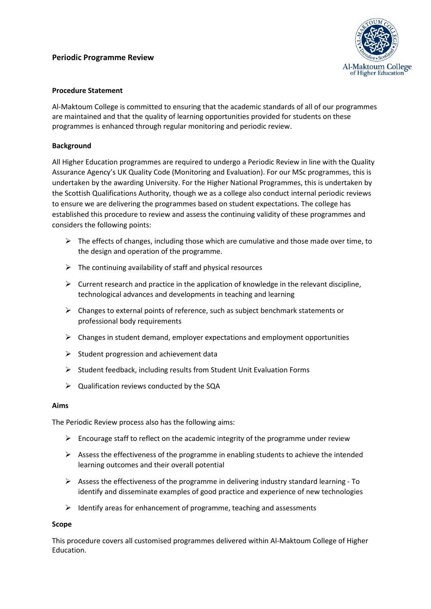## **Periodic Programme Review**



## **Procedure Statement**

Al-Maktoum College is committed to ensuring that the academic standards of all of our programmes are maintained and that the quality of learning opportunities provided for students on these programmes is enhanced through regular monitoring and periodic review.

### **Background**

All Higher Education programmes are required to undergo a Periodic Review in line with the Quality Assurance Agency's UK Quality Code (Monitoring and Evaluation). For our MSc programmes, this is undertaken by the awarding University. For the Higher National Programmes, this is undertaken by the Scottish Qualifications Authority, though we as a college also conduct internal periodic reviews to ensure we are delivering the programmes based on student expectations. The college has established this procedure to review and assess the continuing validity of these programmes and considers the following points:

- $\triangleright$  The effects of changes, including those which are cumulative and those made over time, to the design and operation of the programme.
- $\triangleright$  The continuing availability of staff and physical resources
- $\triangleright$  Current research and practice in the application of knowledge in the relevant discipline, technological advances and developments in teaching and learning
- $\triangleright$  Changes to external points of reference, such as subject benchmark statements or professional body requirements
- $\triangleright$  Changes in student demand, employer expectations and employment opportunities
- $\triangleright$  Student progression and achievement data
- $\triangleright$  Student feedback, including results from Student Unit Evaluation Forms
- $\triangleright$  Qualification reviews conducted by the SQA

#### **Aims**

The Periodic Review process also has the following aims:

- $\triangleright$  Encourage staff to reflect on the academic integrity of the programme under review
- $\triangleright$  Assess the effectiveness of the programme in enabling students to achieve the intended learning outcomes and their overall potential
- $\triangleright$  Assess the effectiveness of the programme in delivering industry standard learning To identify and disseminate examples of good practice and experience of new technologies
- $\triangleright$  Identify areas for enhancement of programme, teaching and assessments

#### **Scope**

This procedure covers all customised programmes delivered within Al-Maktoum College of Higher Education.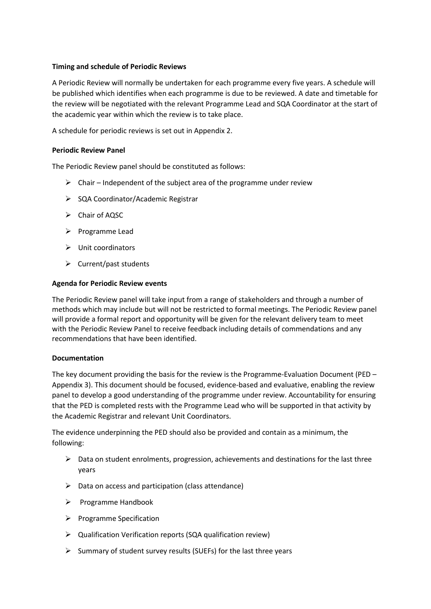#### **Timing and schedule of Periodic Reviews**

A Periodic Review will normally be undertaken for each programme every five years. A schedule will be published which identifies when each programme is due to be reviewed. A date and timetable for the review will be negotiated with the relevant Programme Lead and SQA Coordinator at the start of the academic year within which the review is to take place.

A schedule for periodic reviews is set out in Appendix 2.

#### **Periodic Review Panel**

The Periodic Review panel should be constituted as follows:

- $\triangleright$  Chair Independent of the subject area of the programme under review
- $\triangleright$  SQA Coordinator/Academic Registrar
- Chair of AQSC
- $\triangleright$  Programme Lead
- $\triangleright$  Unit coordinators
- $\triangleright$  Current/past students

#### **Agenda for Periodic Review events**

The Periodic Review panel will take input from a range of stakeholders and through a number of methods which may include but will not be restricted to formal meetings. The Periodic Review panel will provide a formal report and opportunity will be given for the relevant delivery team to meet with the Periodic Review Panel to receive feedback including details of commendations and any recommendations that have been identified.

#### **Documentation**

The key document providing the basis for the review is the Programme-Evaluation Document (PED – Appendix 3). This document should be focused, evidence-based and evaluative, enabling the review panel to develop a good understanding of the programme under review. Accountability for ensuring that the PED is completed rests with the Programme Lead who will be supported in that activity by the Academic Registrar and relevant Unit Coordinators.

The evidence underpinning the PED should also be provided and contain as a minimum, the following:

- $\triangleright$  Data on student enrolments, progression, achievements and destinations for the last three years
- $\triangleright$  Data on access and participation (class attendance)
- $\triangleright$  Programme Handbook
- $\triangleright$  Programme Specification
- Qualification Verification reports (SQA qualification review)
- $\triangleright$  Summary of student survey results (SUEFs) for the last three years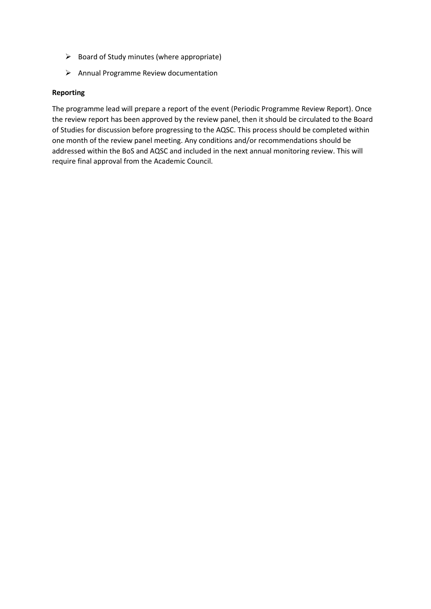- $\triangleright$  Board of Study minutes (where appropriate)
- $\triangleright$  Annual Programme Review documentation

#### **Reporting**

The programme lead will prepare a report of the event (Periodic Programme Review Report). Once the review report has been approved by the review panel, then it should be circulated to the Board of Studies for discussion before progressing to the AQSC. This process should be completed within one month of the review panel meeting. Any conditions and/or recommendations should be addressed within the BoS and AQSC and included in the next annual monitoring review. This will require final approval from the Academic Council.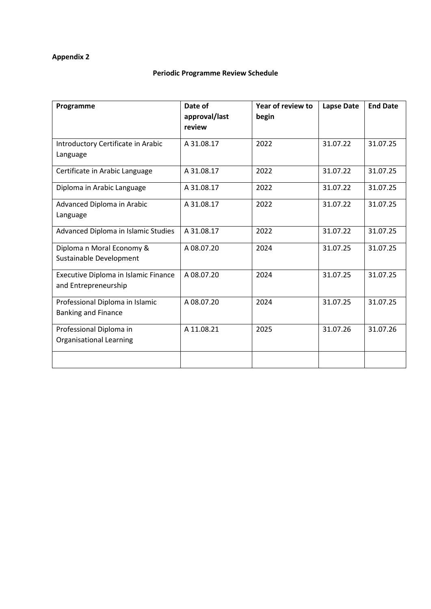# **Appendix 2**

# **Periodic Programme Review Schedule**

| Programme                                                     | Date of<br>approval/last<br>review | Year of review to<br>begin | <b>Lapse Date</b> | <b>End Date</b> |
|---------------------------------------------------------------|------------------------------------|----------------------------|-------------------|-----------------|
| Introductory Certificate in Arabic<br>Language                | A 31.08.17                         | 2022                       | 31.07.22          | 31.07.25        |
| Certificate in Arabic Language                                | A 31.08.17                         | 2022                       | 31.07.22          | 31.07.25        |
| Diploma in Arabic Language                                    | A 31.08.17                         | 2022                       | 31.07.22          | 31.07.25        |
| Advanced Diploma in Arabic<br>Language                        | A 31.08.17                         | 2022                       | 31.07.22          | 31.07.25        |
| Advanced Diploma in Islamic Studies                           | A 31.08.17                         | 2022                       | 31.07.22          | 31.07.25        |
| Diploma n Moral Economy &<br>Sustainable Development          | A 08.07.20                         | 2024                       | 31.07.25          | 31.07.25        |
| Executive Diploma in Islamic Finance<br>and Entrepreneurship  | A 08.07.20                         | 2024                       | 31.07.25          | 31.07.25        |
| Professional Diploma in Islamic<br><b>Banking and Finance</b> | A 08.07.20                         | 2024                       | 31.07.25          | 31.07.25        |
| Professional Diploma in<br><b>Organisational Learning</b>     | A 11.08.21                         | 2025                       | 31.07.26          | 31.07.26        |
|                                                               |                                    |                            |                   |                 |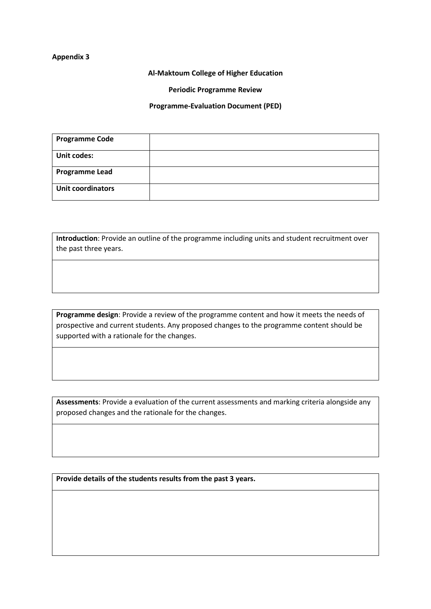#### **Appendix 3**

**Al-Maktoum College of Higher Education**

**Periodic Programme Review**

**Programme-Evaluation Document (PED)**

| <b>Programme Code</b>    |  |
|--------------------------|--|
| <b>Unit codes:</b>       |  |
| <b>Programme Lead</b>    |  |
| <b>Unit coordinators</b> |  |

**Introduction**: Provide an outline of the programme including units and student recruitment over the past three years.

**Programme design**: Provide a review of the programme content and how it meets the needs of prospective and current students. Any proposed changes to the programme content should be supported with a rationale for the changes.

**Assessments**: Provide a evaluation of the current assessments and marking criteria alongside any proposed changes and the rationale for the changes.

**Provide details of the students results from the past 3 years.**